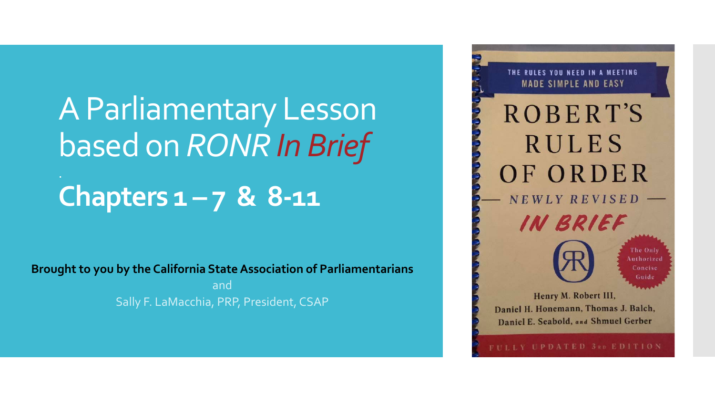A Parliamentary Lesson based on *RONR In Brief* **Chapters 1 – 7 & 8-11**

**Brought to you by the California State Association of Parliamentarians**

and Sally F. LaMacchia, PRP, President, CSAP

THE RULES YOU NEED IN A MEETING **MADE SIMPLE AND EASY** ROBERT'S **RULES** OF ORDER NEWLY REVISED IN BRIEF The Only Authorized Concise Guide Henry M. Robert III, Daniel H. Honemann, Thomas J. Balch, Daniel E. Seabold, and Shmuel Gerber

ULLY UPDATED 3RD EDITION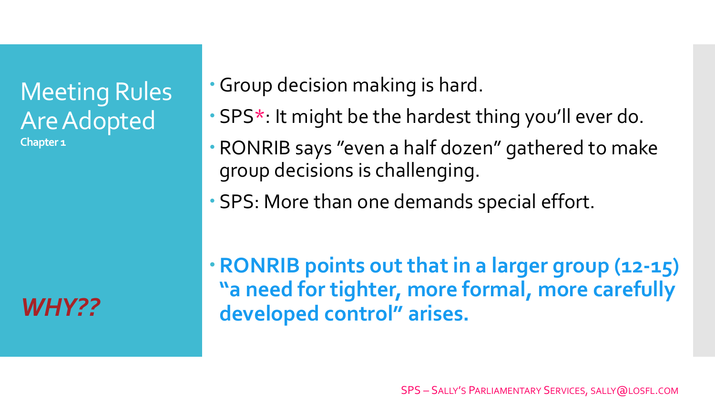## Meeting Rules Are Adopted **Chapter 1**

*WHY??*

Group decision making is hard.

- SPS\*: It might be the hardest thing you'll ever do.
- RONRIB says "even a half dozen" gathered to make group decisions is challenging.
- SPS: More than one demands special effort.

**RONRIB points out that in a larger group (12-15) "a need for tighter, more formal, more carefully developed control" arises.**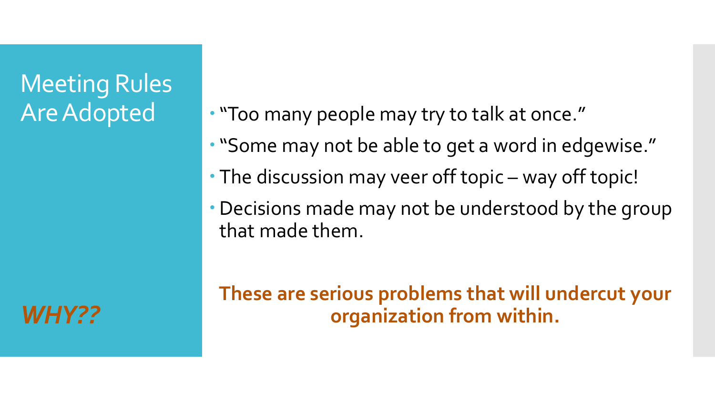## Meeting Rules Are Adopted

*WHY??*

"Too many people may try to talk at once."

- "Some may not be able to get a word in edgewise."
- The discussion may veer off topic way off topic!
- Decisions made may not be understood by the group that made them.

**These are serious problems that will undercut your organization from within.**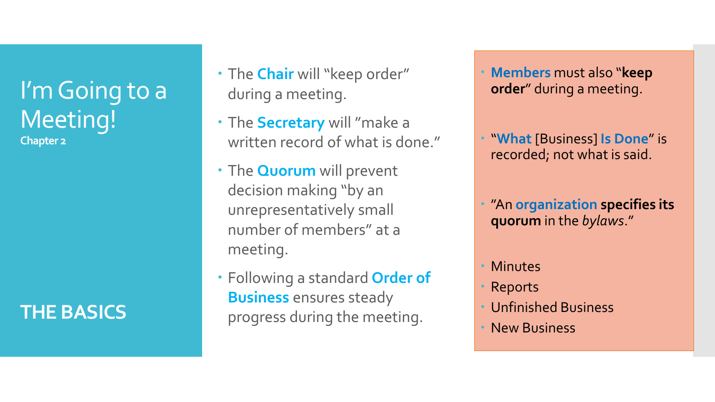I'm Going to a Meeting! **Chapter 2**

## **THE BASICS**

- The **Chair** will "keep order" during a meeting.
- The **Secretary** will "make a written record of what is done."
- The **Quorum** will prevent decision making "by an unrepresentatively small number of members" at a meeting.
- Following a standard **Order of Business** ensures steady progress during the meeting.
- **Members** must also "**keep order**" during a meeting.
- "**What** [Business] **Is Done**" is recorded; not what is said.
- "An **organization specifies its quorum** in the *bylaws*."
- Minutes
- Reports
- Unfinished Business
- New Business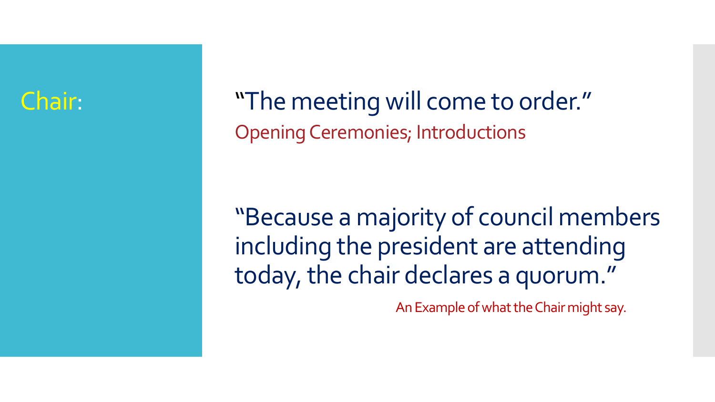"The meeting will come to order." Opening Ceremonies; Introductions

"Because a majority of council members including the president are attending today, the chair declares a quorum."

An Example of what the Chair might say.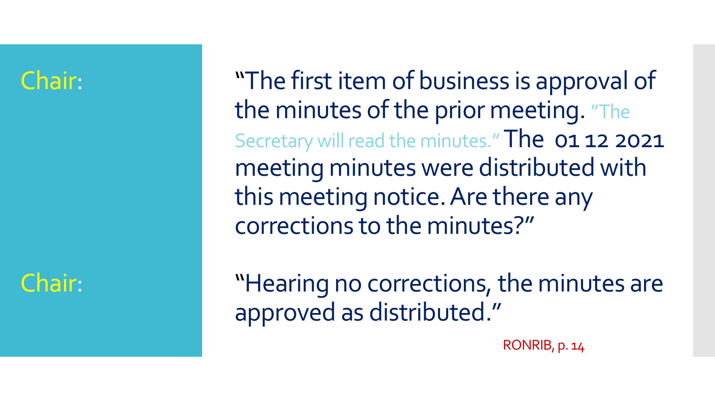## Chair:

"The first item of business is approval of the minutes of the prior meeting. "The Secretary will read the minutes." The 01 12 2021 meeting minutes were distributed with this meeting notice. Are there any corrections to the minutes?"

"Hearing no corrections, the minutes are approved as distributed."

RONRIB, p. 14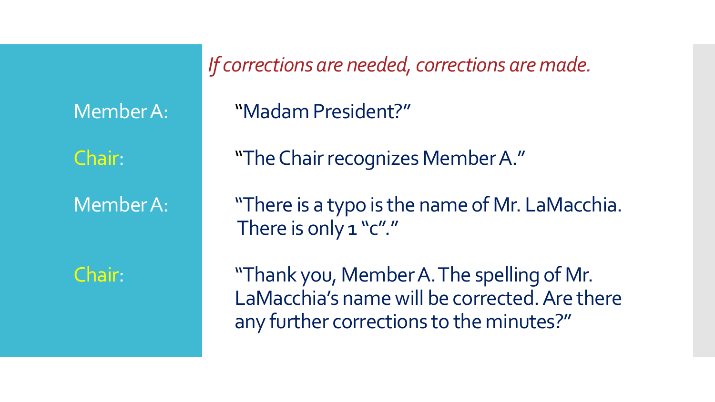*If corrections are needed, corrections are made.*

Member A: "Madam President?"

"The Chair recognizes Member A."

Member A: "There is a typo is the name of Mr. LaMacchia. There is only 1 "c"."

Chair: "Thank you, Member A. The spelling of Mr. LaMacchia's name will be corrected. Are there any further corrections to the minutes?"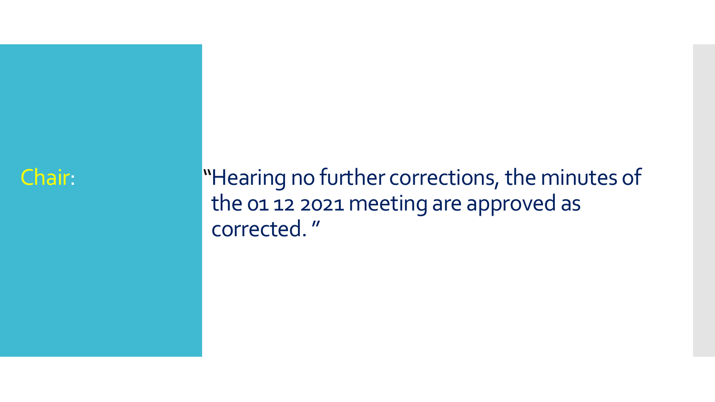## "Hearing no further corrections, the minutes of the 01 12 2021 meeting are approved as corrected. "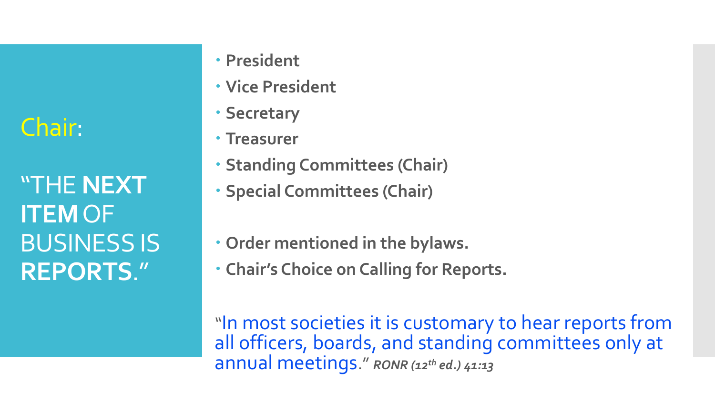"THE **NEXT ITEM**OF BUSINESS IS **REPORTS**."

- **President**
- **Vice President**
- **Secretary**
- **Treasurer**
- **Standing Committees (Chair)**
- **Special Committees (Chair)**
- **Order mentioned in the bylaws.**
- **Chair's Choice on Calling for Reports.**

"In most societies it is customary to hear reports from all officers, boards, and standing committees only at annual meetings." *RONR (12th ed.) 41:13*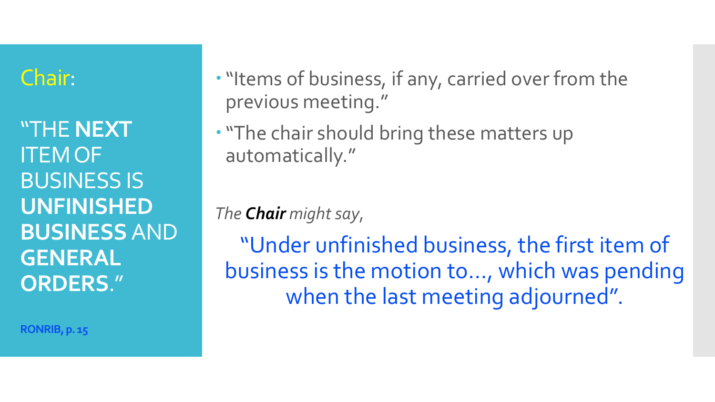"THE **NEXT** ITEM OF BUSINESS IS **UNFINISHED BUSINESS** AND **GENERAL ORDERS**."

**RONRIB, p. 15**

. "Items of business, if any, carried over from the previous meeting."

"The chair should bring these matters up automatically."

*The Chair might say*,

"Under unfinished business, the first item of business is the motion to…, which was pending when the last meeting adjourned".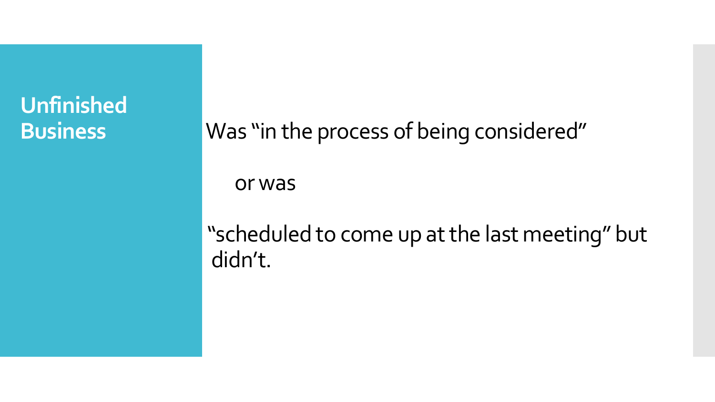# **Unfinished**

**Business** Was "in the process of being considered"

or was

"scheduled to come up at the last meeting" but didn't.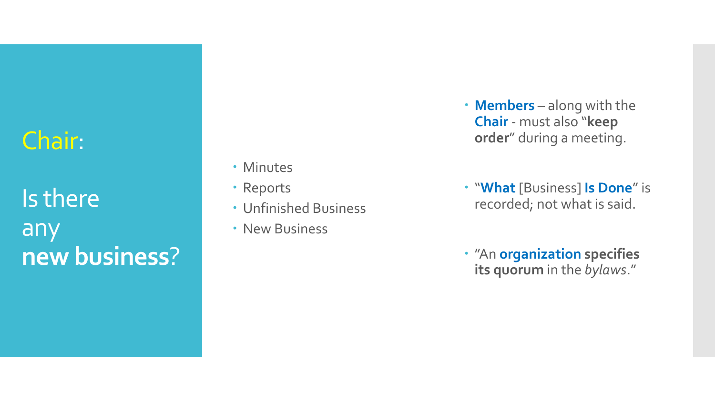Is there any **new business** ?

- Minutes
- Reports
- Unfinished Business
- New Business
- **Members** along with the **Chair** - must also "**keep order**" during a meeting.
- "**What** [Business] **Is Done**" is recorded; not what is said.
- "An **organization specifies its quorum** in the *bylaws*."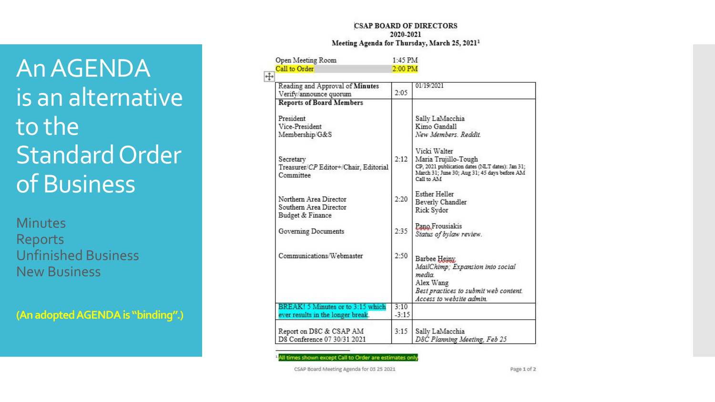#### **CSAP BOARD OF DIRECTORS** 2020-2021 Meeting Agenda for Thursday, March 25, 2021<sup>1</sup>

An AGENDA is an alternative to the Standard Order of Business

**Minutes** Reports Unfinished Business New Business

**(An adopted AGENDA is "binding".)**

| Open Meeting Room                                                    | $1-45$ PM |                                                                                                                                                       |  |
|----------------------------------------------------------------------|-----------|-------------------------------------------------------------------------------------------------------------------------------------------------------|--|
| Call to Order                                                        | $2:00$ PM |                                                                                                                                                       |  |
| ⊕                                                                    |           |                                                                                                                                                       |  |
| Reading and Approval of Minutes<br>Verify/announce quorum            | 2:05      | 01/19/2021                                                                                                                                            |  |
| <b>Reports of Board Members</b>                                      |           |                                                                                                                                                       |  |
| President<br>Vice-President<br>Membership/G&S                        |           | Sally LaMacchia<br>Kimo Gandall<br>New Members, Reddit                                                                                                |  |
| Secretary<br>Treasurer/CP Editor+/Chair, Editorial<br>Committee      | 2:12      | Vicki Walter<br>Maria Trujillo-Tough<br>CP, 2021 publication dates (NLT dates): Jan 31;<br>March 31; June 30; Aug 31; 45 days before AM<br>Call to AM |  |
| Northern Area Director<br>Southern Area Director<br>Budget & Finance | 2:20      | <b>Esther Heller</b><br>Beverly Chandler<br>Rick Sydor                                                                                                |  |
| Governing Documents                                                  | 2:35      | Pano Frousiakis<br>Status of bylaw review.                                                                                                            |  |
| Communications/Webmaster                                             | 2:50      | Barbee Heiny<br>MailChimp; Expansion into social<br>media<br>Alex Wang<br>Best practices to submit web content.<br>Access to website admin            |  |
| BREAK! 5 Minutes or to 3:15 which                                    | 3:10      |                                                                                                                                                       |  |
| ever results in the longer break.                                    | $-3:15$   |                                                                                                                                                       |  |
| Report on D8C & CSAP AM<br>D8 Conference 07 30/31 2021               | 3:15      | Sally LaMacchia<br>D8C Planning Meeting, Feb 25                                                                                                       |  |

Il times shown except Call to Order are estimates on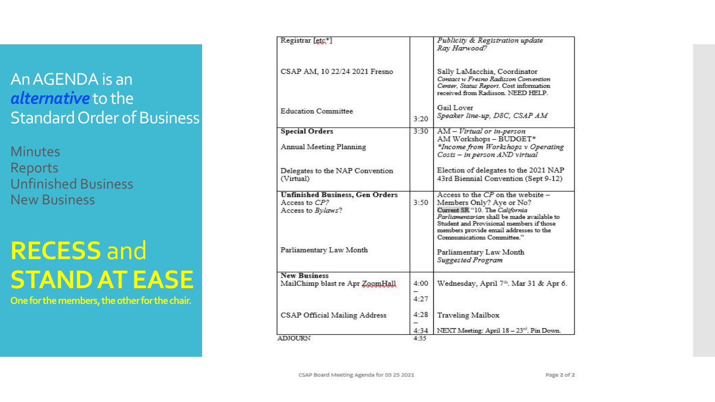## An AGENDA is an *alternative* to the Standard Order of Business

**Minutes** Reports Unfinished Business New Business

# **RECESS** and **STAND AT EASE**

**One for the members, the other for the chair.**

| Registrar [gtc*]                                                             |          | Publicity & Registration update<br>Ray Harwood?                                                                                                                                                                                                                     |
|------------------------------------------------------------------------------|----------|---------------------------------------------------------------------------------------------------------------------------------------------------------------------------------------------------------------------------------------------------------------------|
| CSAP AM, 10 22/24 2021 Fresno                                                |          | Sally LaMacchia, Coordinator<br>Contact w Fresno Radisson Convention<br>Center, Status Report. Cost information<br>received from Radisson. NEED HELP.                                                                                                               |
| <b>Education Committee</b>                                                   | 3:20     | Gail Lover<br>Speaker line-up, D8C, CSAP AM                                                                                                                                                                                                                         |
| <b>Special Orders</b>                                                        | 3:30     | AM - Virtual or in-person                                                                                                                                                                                                                                           |
| Annual Meeting Planning                                                      |          | AM Workshops - BUDGET*<br>*Income from Workshops v Operating<br>Costs - in person AND virtual                                                                                                                                                                       |
| Delegates to the NAP Convention<br>(Virtual)                                 |          | Election of delegates to the 2021 NAP<br>43rd Biennial Convention (Sept 9-12)                                                                                                                                                                                       |
| <b>Unfinished Business, Gen Orders</b><br>Access to CP?<br>Access to Bylaws? | 3:50     | Access to the $CP$ on the website -<br>Members Only? Aye or No?<br>Current SR "10. The California<br>Parliamentarian shall be made available to<br>Student and Provisional members if those<br>members provide email addresses to the<br>Communications Committee." |
| Parliamentary Law Month                                                      |          | Parliamentary Law Month<br><b>Suggested Program</b>                                                                                                                                                                                                                 |
| <b>New Business</b>                                                          |          |                                                                                                                                                                                                                                                                     |
| MailChimp blast re Apr ZoomHall                                              | 4:00     | Wednesday, April 7th. Mar 31 & Apr 6.                                                                                                                                                                                                                               |
|                                                                              | 4:27     |                                                                                                                                                                                                                                                                     |
| CSAP Official Mailing Address                                                | 4:28     | Traveling Mailbox                                                                                                                                                                                                                                                   |
|                                                                              | 4:34     | NEXT Meeting: April 18 - 23rd. Pin Down.                                                                                                                                                                                                                            |
| <b>ADIOURN</b>                                                               | $4 - 35$ |                                                                                                                                                                                                                                                                     |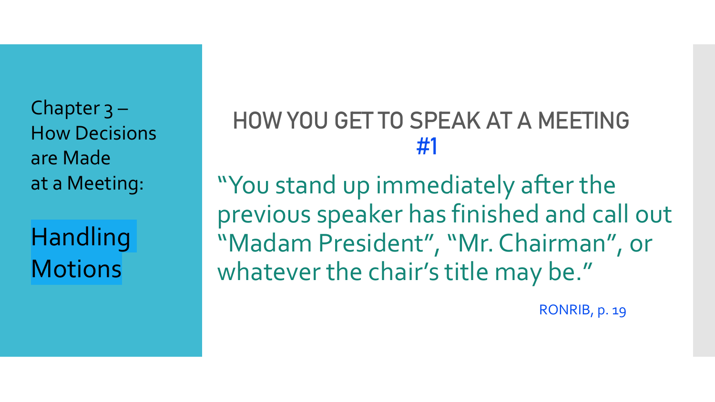Chapter 3 – How Decisions are Made at a Meeting:

Handling **Motions** 

## HOW YOU GET TO SPEAK AT A MEETING #1

"You stand up immediately after the previous speaker has finished and call out "Madam President", "Mr. Chairman", or whatever the chair's title may be."

RONRIB, p. 19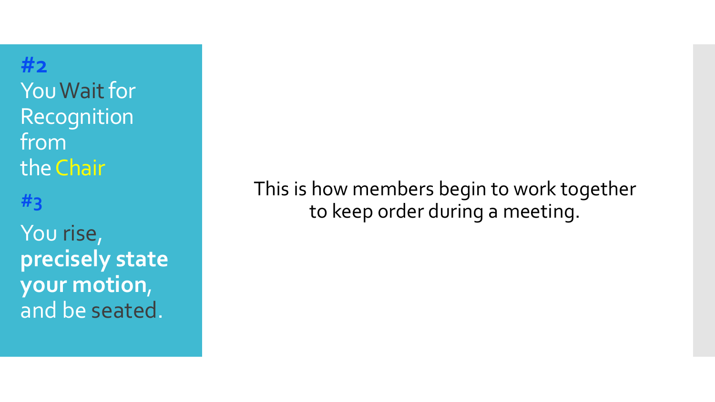**#2 You Wait for** Recognition from the Chair You rise, **precisely state your motion**, and be seated.

This is how members begin to work together to keep order during a meeting. **#3**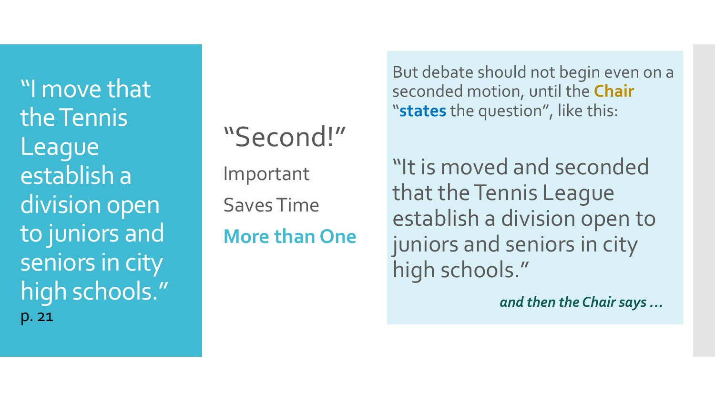"I move that the Tennis League establish a division open to juniors and seniors in city high schools." p. 21

"Second!" Important Saves Time **More than One**

But debate should not begin even on a seconded motion, until the **Chair** "**states** the question", like this:

"It is moved and seconded that the Tennis League establish a division open to juniors and seniors in city high schools."

*and then the Chair says …*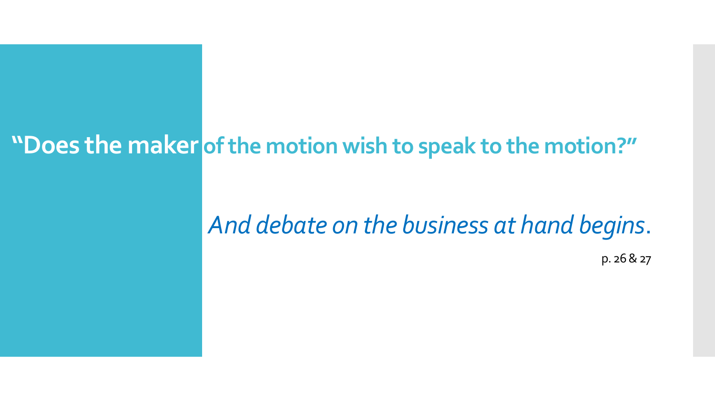## **"Does the maker of the motion wish to speak to the motion?"**

# *And debate on the business at hand begins*.

p. 26 & 27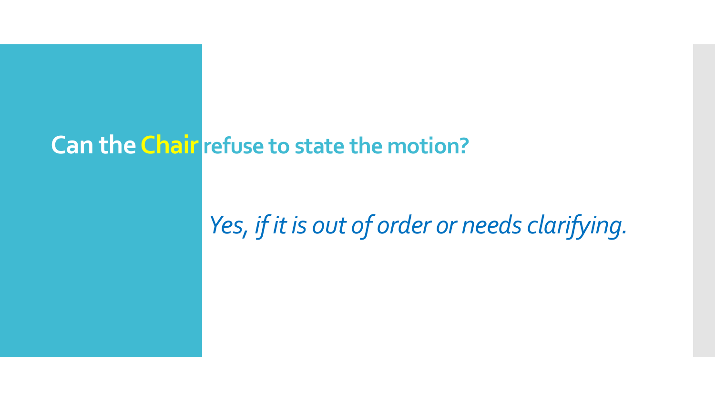## **Can the Chair refuse to state the motion?**

# *Yes, if it is out of order or needs clarifying.*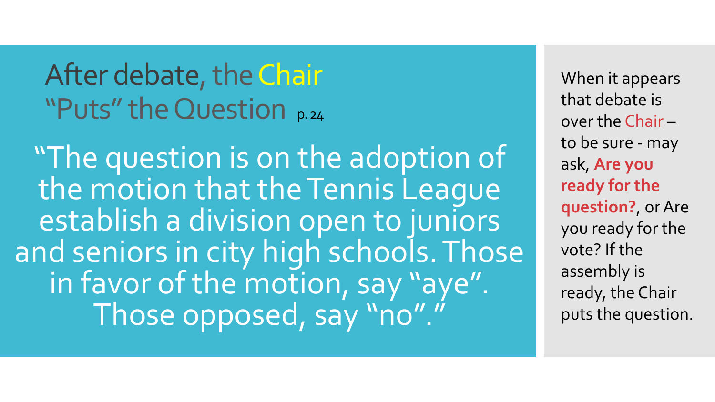After debate, the Chair "Puts" the Question p. 24

"The question is on the adoption of the motion that the Tennis League establish a division open to juniors and seniors in city high schools. Those in favor of the motion, say "aye". Those opposed, say "no"."

When it appears that debate is over the Chair – to be sure - may ask, **Are you ready for the question?**, or Are you ready for the vote? If the assembly is ready, the Chair puts the question.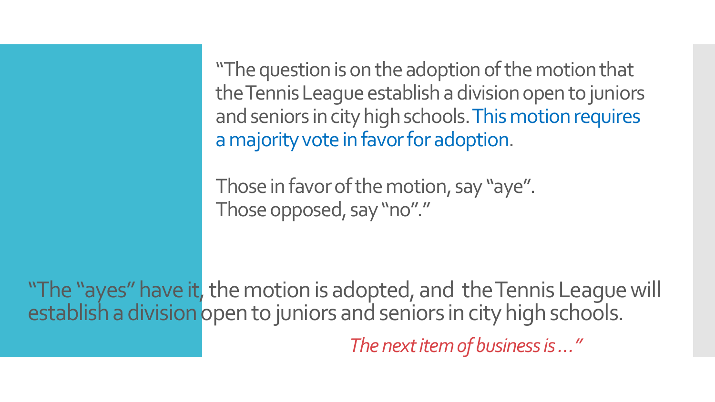"The question is on the adoption of the motion that the Tennis League establish a division open to juniors and seniors in city high schools. This motion requires a majority vote in favor for adoption.

Those in favor of the motion, say "aye". Those opposed, say "no"."

"The "ayes" have it, the motion is adopted, and the Tennis League will establish a division open to juniors and seniors in city high schools. *The next item of business is …"*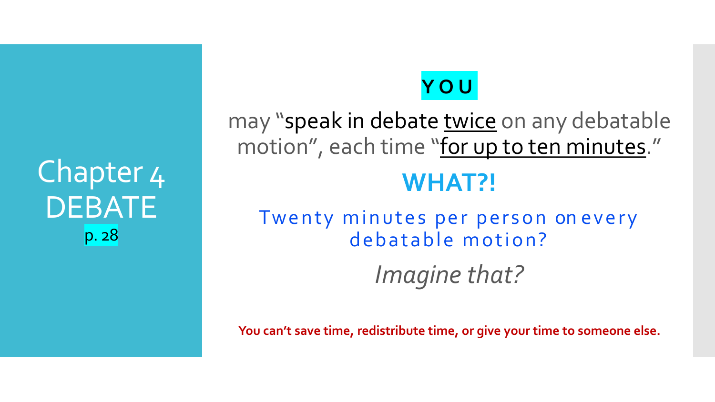Chapter 4 **DEBATE** p. 28

## **YOU**

may "speak in debate twice on any debatable motion", each time "for up to ten minutes."

## **WHAT?!**

Twenty minutes per person on every debatable motion? *Imagine that?* 

**You can't save time, redistribute time, or give your time to someone else.**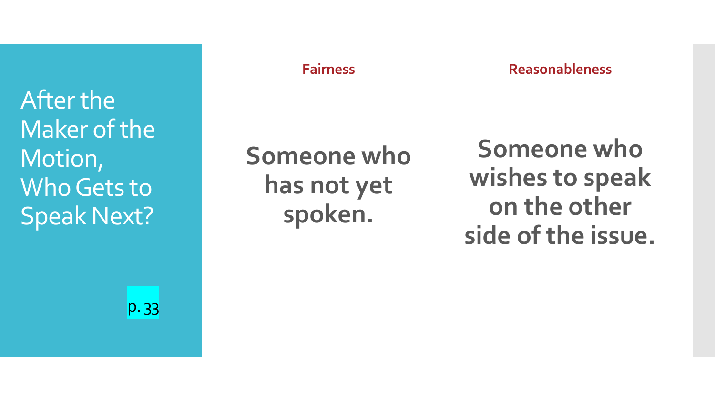After the Maker of the Motion, Who Gets to Speak Next?

p. 33

### **Fairness**

**Reasonableness**

# **Someone who has not yet spoken.**

**Someone who wishes to speak on the other side of the issue.**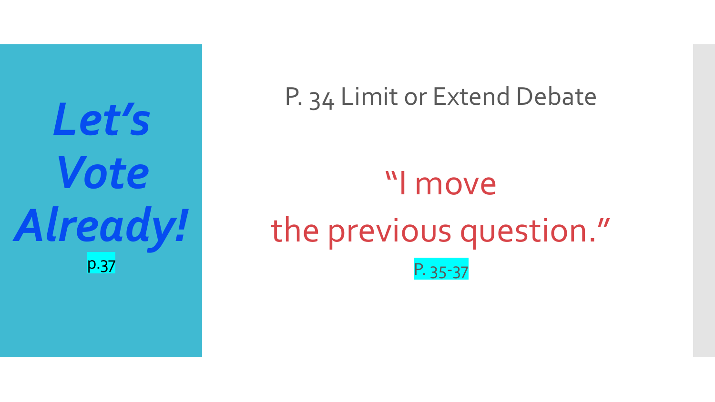*Let's Vote Already!* p.37

P. 34 Limit or Extend Debate "I move the previous question." P. 35-37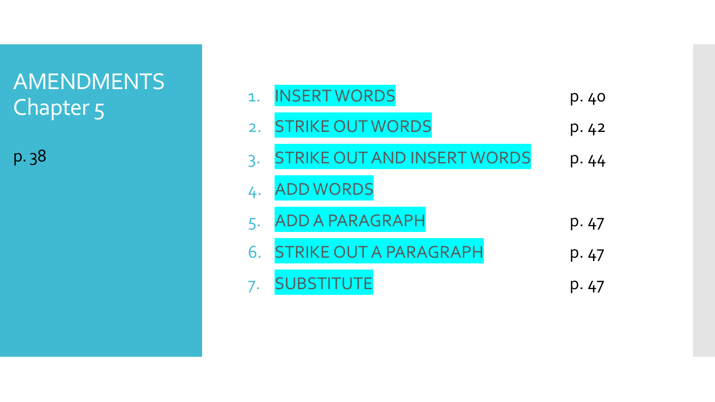## AMENDMENTS Chapter 5

p. 38

|    | <b>INSERT WORDS</b>                | p. 40 |
|----|------------------------------------|-------|
| 2. | <b>STRIKE OUT WORDS</b>            | p.42  |
| 3. | <b>STRIKE OUT AND INSERT WORDS</b> | p. 44 |
| 4. | <b>ADD WORDS</b>                   |       |
|    | <b>ADD A PARAGRAPH</b>             | p. 47 |
|    | STRIKE OUT A PARAGRAPH             | p. 47 |
|    |                                    | p.47  |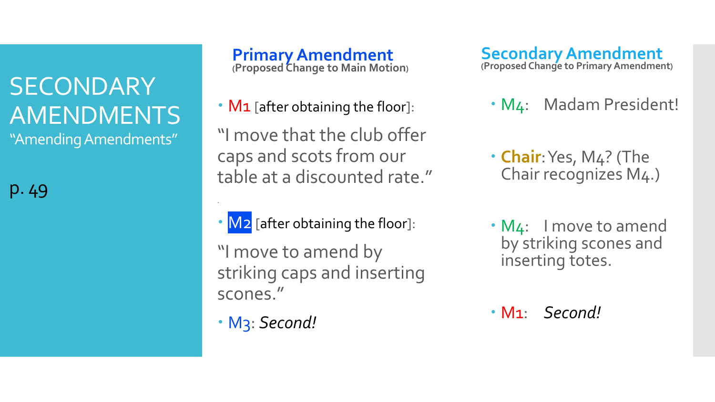# **SECONDARY** AMENDMENTS

"Amending Amendments"

p. 49

**Primary Amendment (Proposed Change to Main Motion)**

• **M1** [after obtaining the floor]:

"I move that the club offer caps and scots from our table at a discounted rate."

- M<sub>2</sub> [after obtaining the floor]:
- "I move to amend by striking caps and inserting scones."
- M3: *Second!*

.

**Secondary Amendment (Proposed Change to Primary Amendment)**

- M4: Madam President!
- **Chair**: Yes, M4? (The Chair recognizes M4.)
- M4: I move to amend by striking scones and inserting totes.
- M1: *Second!*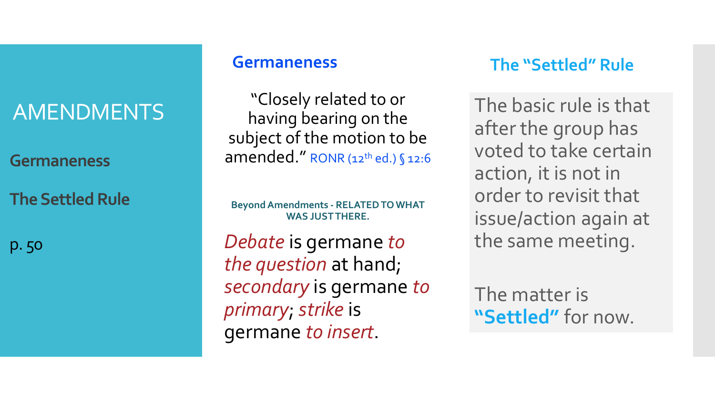## AMENDMENTS

**Germaneness**

**The Settled Rule**

p. 50

### **Germaneness**

"Closely related to or having bearing on the subject of the motion to be amended." RONR (12<sup>th</sup> ed.) § 12:6

**Beyond Amendments - RELATED TO WHAT WAS JUST THERE.**

*Debate* is germane *to the question* at hand; *secondary* is germane *to primary*; *strike* is germane *to insert*.

## **The "Settled" Rule**

The basic rule is that after the group has voted to take certain action, it is not in order to revisit that issue/action again at the same meeting.

The matter is **"Settled"** for now.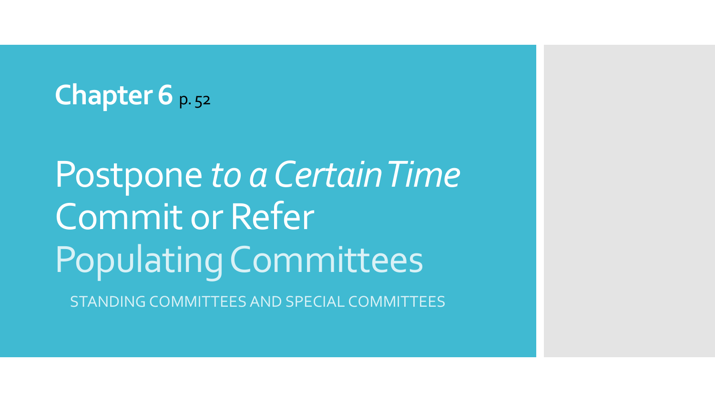## **Chapter 6 p. 52**

Postpone *to a Certain Time* Commit or Refer Populating Committees

STANDING COMMITTEES AND SPECIAL COMMITTEES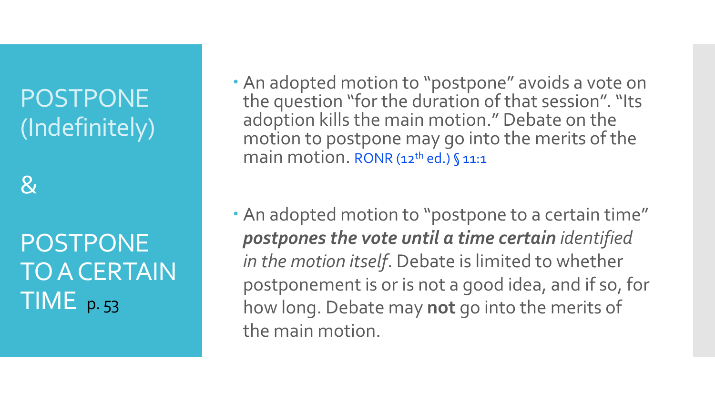# POSTPONE (Indefinitely)

 $\mathcal{R}$ 

POSTPONE TO A CERTAIN TIME p.53

- An adopted motion to "postpone" avoids a vote on the question "for the duration of that session". "Its adoption kills the main motion." Debate on the motion to postpone may go into the merits of the main motion. RONR (12<sup>th</sup> ed.) § 11:1
- An adopted motion to "postpone to a certain time" *postpones the vote until a time certain identified in the motion itself*. Debate is limited to whether postponement is or is not a good idea, and if so, for how long. Debate may **not** go into the merits of the main motion.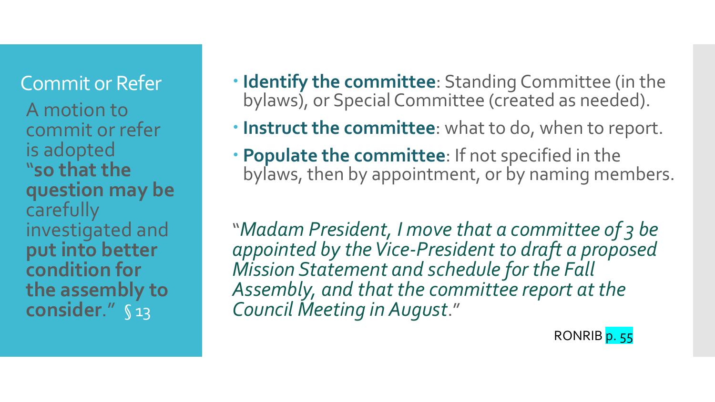A motion to commit or refer is adopted "**so that the question may be**  carefully investigated and **put into better condition for the assembly to consider**." § 13

- **Commit or Refer <b>Interprete Identify the committee**: Standing Committee (in the bylaws), or Special Committee (created as needed).
	- **Instruct the committee**: what to do, when to report.
	- **Populate the committee**: If not specified in the bylaws, then by appointment, or by naming members.

"*Madam President, I move that a committee of 3 be appointed by the Vice-President to draft a proposed Mission Statement and schedule for the Fall Assembly, and that the committee report at the Council Meeting in August*."

RONRIB p. 55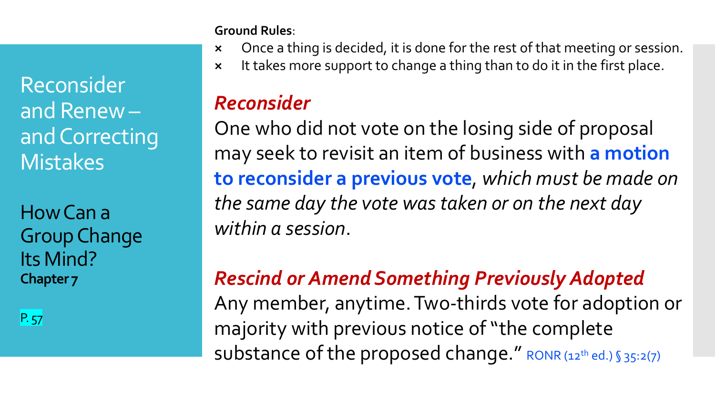Reconsider and Renew – and Correcting **Mistakes** 

How Can a Group Change Its Mind? **Chapter 7**

P. 57

**Ground Rules**:

- **×** Once a thing is decided, it is done for the rest of that meeting or session.
- **×** It takes more support to change a thing than to do it in the first place.

## *Reconsider*

One who did not vote on the losing side of proposal may seek to revisit an item of business with **a motion to reconsider a previous vote**, *which must be made on the same day the vote was taken or on the next day within a session*.

## *Rescind or Amend Something Previously Adopted*

Any member, anytime. Two-thirds vote for adoption or majority with previous notice of "the complete substance of the proposed change." RONR (12<sup>th</sup> ed.) § 35:2(7)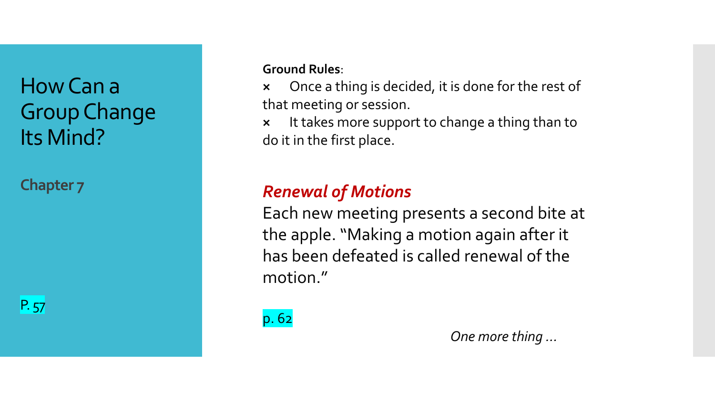How Can a Group Change Its Mind?

**Chapter 7**

P. 57

**Ground Rules**:

**×** Once a thing is decided, it is done for the rest of that meeting or session.

**×** It takes more support to change a thing than to do it in the first place.

## *Renewal of Motions*

Each new meeting presents a second bite at the apple. "Making a motion again after it has been defeated is called renewal of the motion."

p. 62

*One more thing …*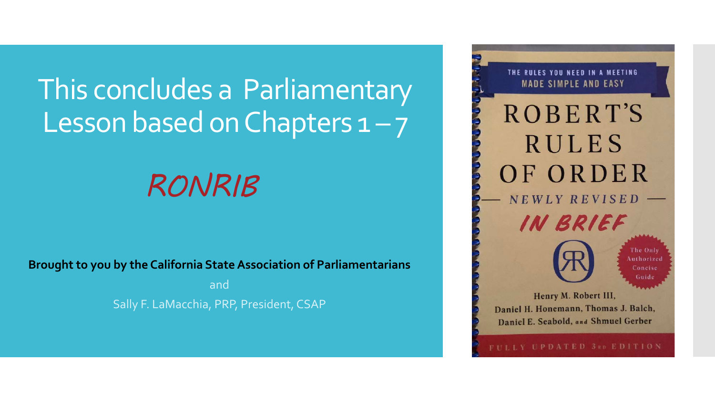# This concludes a Parliamentary Lesson based on Chapters  $1 - 7$

# *RONRIB*

**Brought to you by the California State Association of Parliamentarians**

and Sally F. LaMacchia, PRP, President, CSAP

THE RULES YOU NEED IN A MEETING **MADE SIMPLE AND EASY ROBERT'S RULES** OF ORDER NEWLY REVISED IN BRIEF The Only Authorized Concise Guide Henry M. Robert III, Daniel H. Honemann, Thomas J. Balch, Daniel E. Seabold, and Shmuel Gerber

LY UPDATED 3RD EDITION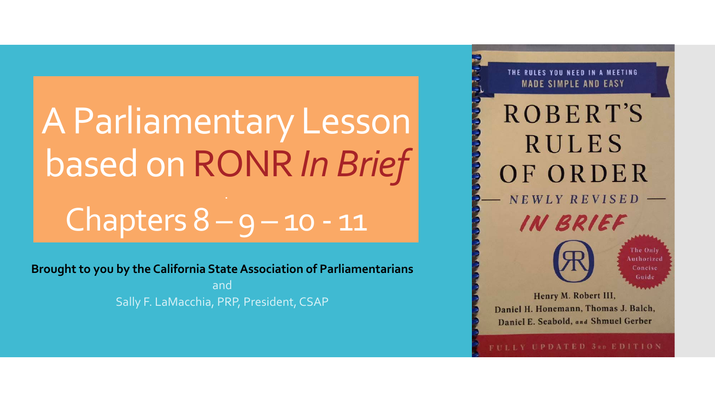# A Parliamentary Lesson based on RONR *In Brief* Chapters  $8 - 9 - 10 - 11$

**Brought to you by the California State Association of Parliamentarians**

and Sally F. LaMacchia, PRP, President, CSAP

**MADE SIMPLE AND EASY ROBERT'S RULES** OF ORDER NEWLY REVISED IN BRIEF The Only Authorized Concise Guide Henry M. Robert III, Daniel H. Honemann, Thomas J. Balch, Daniel E. Seabold, and Shmuel Gerber

THE RULES YOU NEED IN A MEETING

FULLY UPDATED 3RD EDITION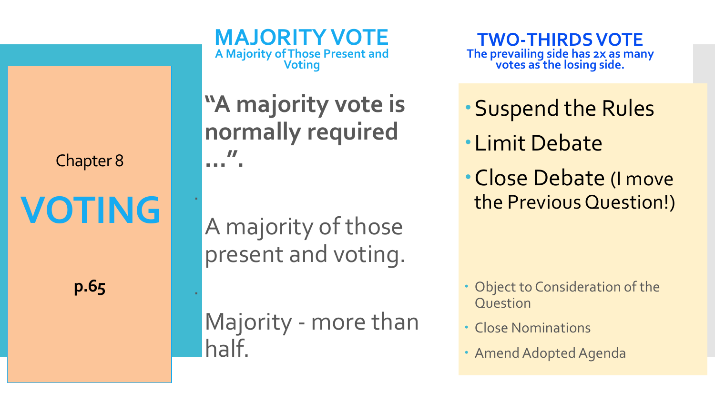Chapter 8

**VOTING**

.

.

**p.65**

**"A majority vote is normally required …".**

**MAJORITY VOTE**

**A Majority of Those Present and Voting**

A majority of those present and voting.

Majority - more than half.

**TWO-THIRDS VOTE The prevailing side has 2x as many votes as the losing side.**

- Suspend the Rules
- Limit Debate
- Close Debate (I move the Previous Question!)

- Object to Consideration of the Question
- Close Nominations
- Amend Adopted Agenda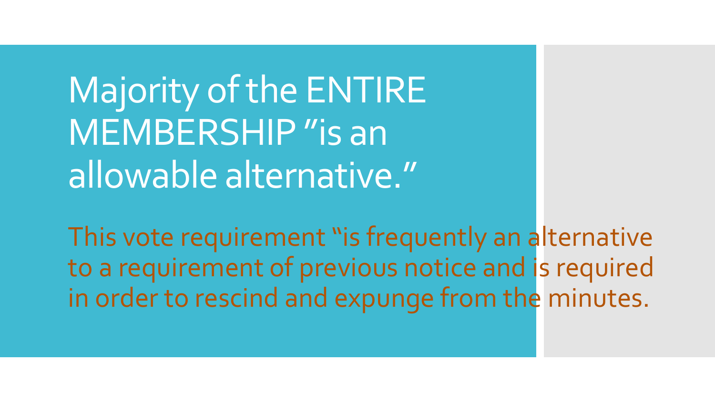Majority of the ENTIRE MEMBERSHIP "is an allowable alternative."

This vote requirement "is frequently an alternative to a requirement of previous notice and is required in order to rescind and expunge from the minutes.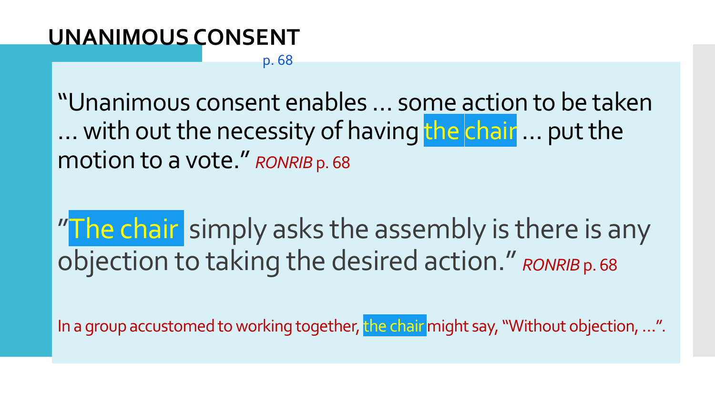## **UNANIMOUS CONSENT**

### p. 68

"Unanimous consent enables … some action to be taken ... with out the necessity of having the chair ... put the motion to a vote." *RONRIB* p. 68

"The chair simply asks the assembly is there is any objection to taking the desired action." *RONRIB* p. 68

In a group accustomed to working together, the chair might say, "Without objection, …".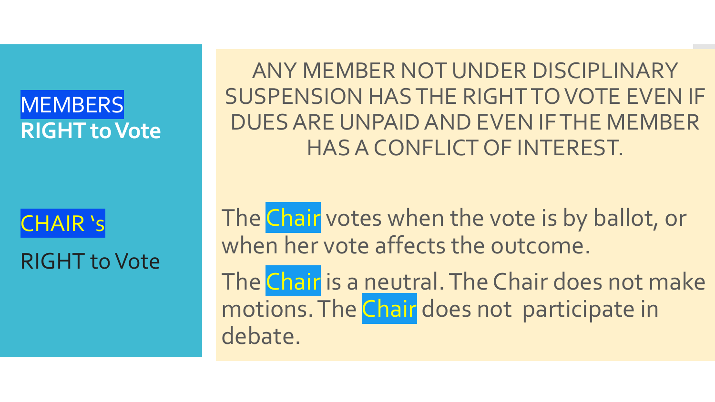## **MEMBERS RIGHT to Vote**

CHAIR 's RIGHT to Vote

ANY MEMBER NOT UNDER DISCIPLINARY SUSPENSION HAS THE RIGHT TO VOTE EVEN IF DUES ARE UNPAID AND EVEN IF THE MEMBER HAS A CONFLICT OF INTEREST.

The Chair votes when the vote is by ballot, or when her vote affects the outcome.

The Chair is a neutral. The Chair does not make motions. The Chair does not participate in debate.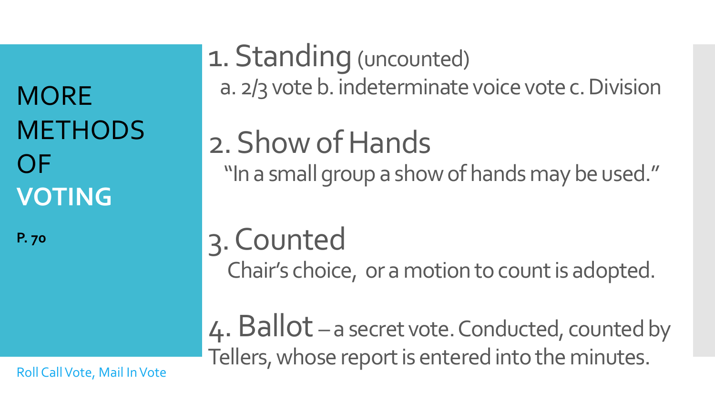**MORE METHODS** OF **VOTING** 

**P. 70**

1. Standing (uncounted) a. 2/3 vote b. indeterminate voice vote c. Division

2. Show of Hands "In a small group a show of hands may be used."

3. Counted Chair's choice, or a motion to count is adopted.

4. Ballot – a secret vote. Conducted, counted by Tellers, whose report is entered into the minutes.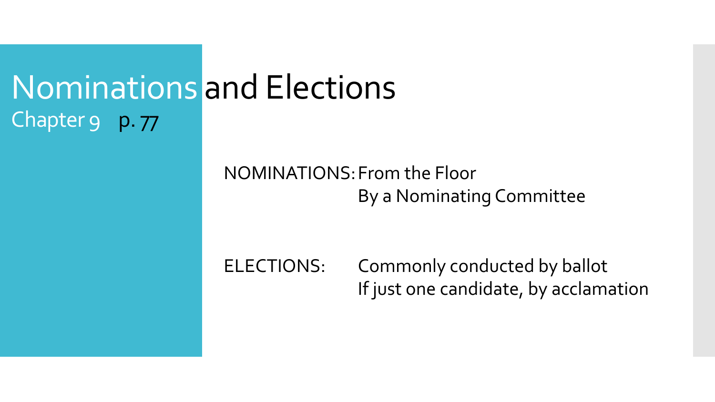# Nominations and Elections Chapter 9 p. 77

## NOMINATIONS:From the Floor By a Nominating Committee

ELECTIONS: Commonly conducted by ballot If just one candidate, by acclamation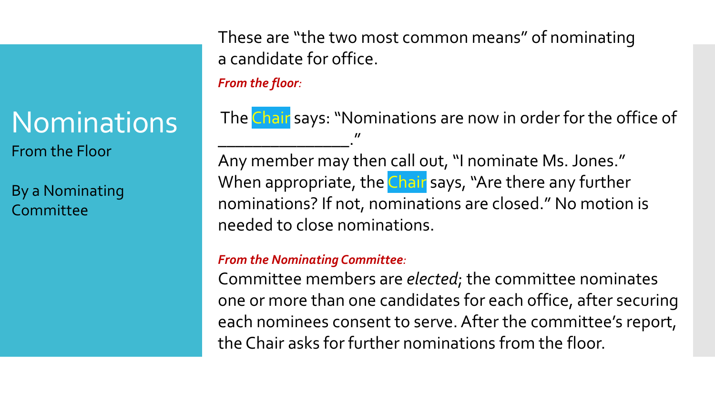# **Nominations**

From the Floor

By a Nominating Committee

These are "the two most common means" of nominating a candidate for office.

*From the floor:*

The Chair says: "Nominations are now in order for the office of \_\_\_\_\_\_\_\_\_\_\_\_\_\_\_." Any member may then call out, "I nominate Ms. Jones." When appropriate, the Chair says, "Are there any further

nominations? If not, nominations are closed." No motion is needed to close nominations.

### *From the Nominating Committee:*

Committee members are *elected*; the committee nominates one or more than one candidates for each office, after securing each nominees consent to serve. After the committee's report, the Chair asks for further nominations from the floor.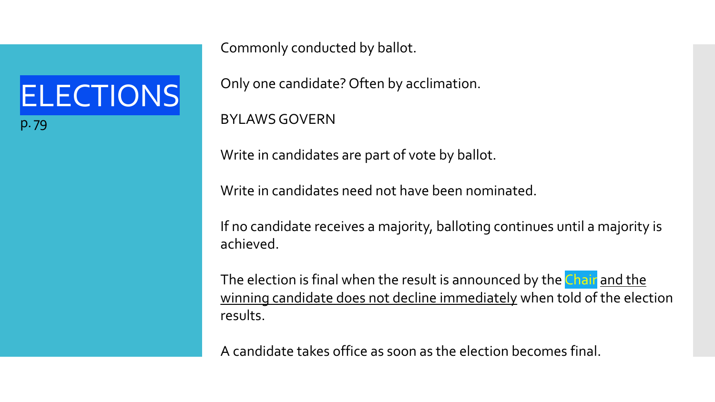ELECTIONS p. 79

Commonly conducted by ballot.

Only one candidate? Often by acclimation.

BYLAWS GOVERN

Write in candidates are part of vote by ballot.

Write in candidates need not have been nominated.

If no candidate receives a majority, balloting continues until a majority is achieved.

The election is final when the result is announced by the Chair and the winning candidate does not decline immediately when told of the election results.

A candidate takes office as soon as the election becomes final.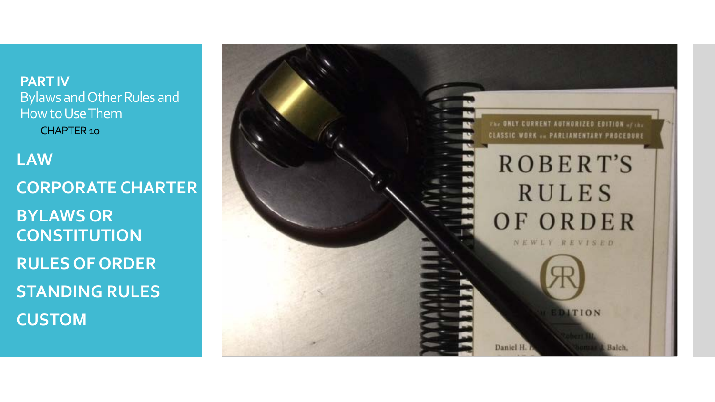**PART IV** Bylaws and Other Rules and How to Use Them CHAPTER 10

 **LAW CORPORATE CHARTER BYLAWS OR CONSTITUTION RULES OF ORDER STANDING RULES CUSTOM**

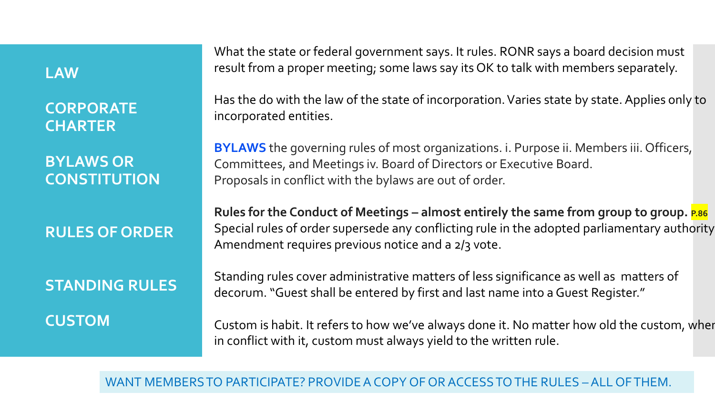### **LAW**

**CORPORATE CHARTER**

**BYLAWS OR CONSTITUTION**

## **RULES OF ORDER**

## **STANDING RULES CUSTOM**

What the state or federal government says. It rules. RONR says a board decision must result from a proper meeting; some laws say its OK to talk with members separately.

Has the do with the law of the state of incorporation. Varies state by state. Applies only to incorporated entities.

**BYLAWS** the governing rules of most organizations. i. Purpose ii. Members iii. Officers, Committees, and Meetings iv. Board of Directors or Executive Board. Proposals in conflict with the bylaws are out of order.

Rules for the Conduct of Meetings – almost entirely the same from group to group. **P.86** Special rules of order supersede any conflicting rule in the adopted parliamentary authority Amendment requires previous notice and a 2/3 vote.

Standing rules cover administrative matters of less significance as well as matters of decorum. "Guest shall be entered by first and last name into a Guest Register."

Custom is habit. It refers to how we've always done it. No matter how old the custom, when in conflict with it, custom must always yield to the written rule.

### WANT MEMBERS TO PARTICIPATE? PROVIDE A COPY OF OR ACCESS TO THE RULES – ALL OF THEM.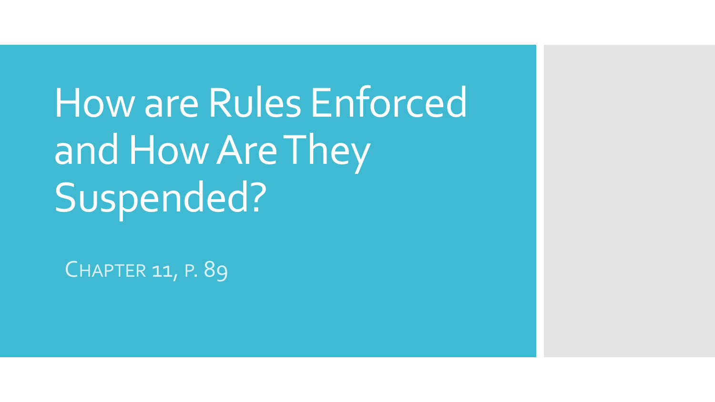How are Rules Enforced and How Are They Suspended?

CHAPTER 11, P. 89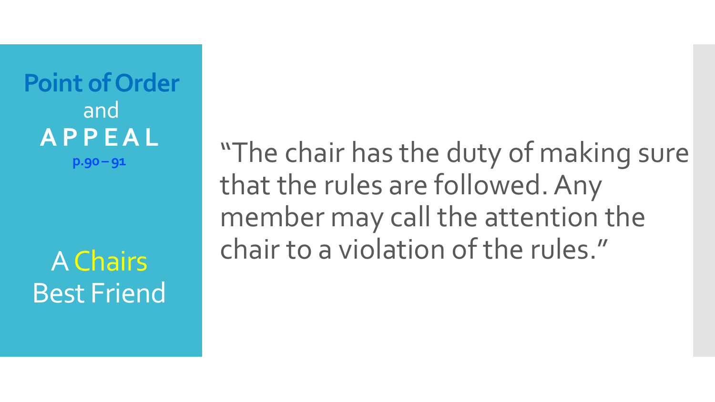**Point of Order** and **A P P E A L p.90 – 91**

A Chairs Best Friend

"The chair has the duty of making sure that the rules are followed. Any member may call the attention the chair to a violation of the rules."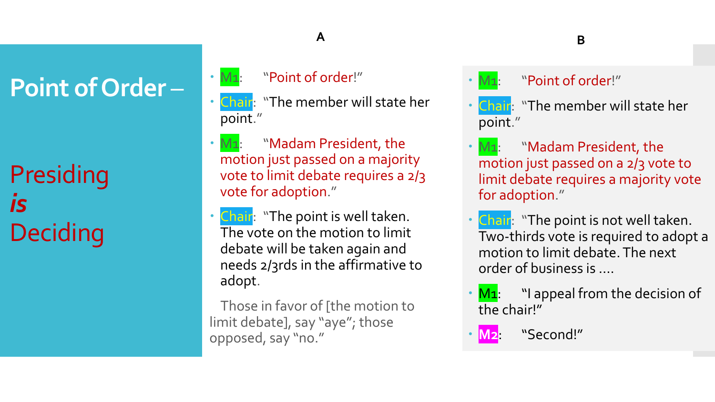# **Point of Order** –

Presiding *is* **Deciding** 

## "Point of order!"

M1:

- Chair: "The member will state her point."
- $\cdot$  M<sub>1</sub>: "Madam President, the motion just passed on a majority vote to limit debate requires a 2/3 vote for adoption."
- Chair: "The point is well taken. The vote on the motion to limit debate will be taken again and needs 2/3rds in the affirmative to adopt.

Those in favor of [the motion to limit debate], say "aye"; those opposed, say "no."

## **A B**

 $\cdot$  M<sub>1</sub>: "Point of order!"

- Chair: "The member will state her point."
- $\cdot$  M<sub>1</sub>: "Madam President, the motion just passed on a 2/3 vote to limit debate requires a majority vote for adoption."
- Chair: "The point is not well taken. Two-thirds vote is required to adopt a motion to limit debate. The next order of business is ….
- $M_1$ : "I appeal from the decision of the chair!"

**M2**: "Second!"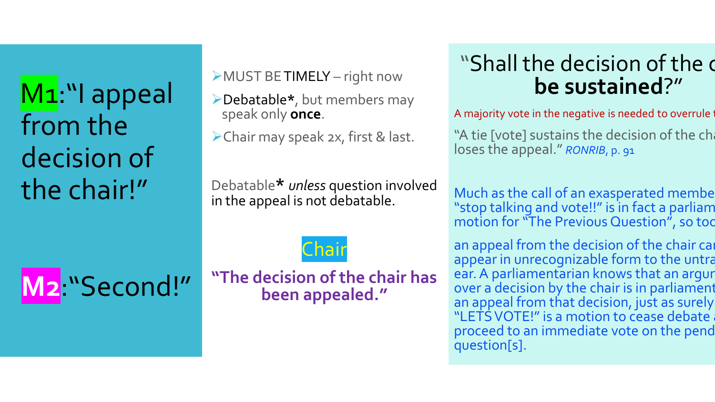M<sub>1</sub>:"I appeal from the decision of the chair!"

**M2**:"Second!"

MUST BE TIMELY – right now

- Debatable**\***, but members may speak only **once**.
- Chair may speak 2x, first & last.

Debatable**\*** *unless* question involved in the appeal is not debatable.

Chair

**"The decision of the chair has been appealed."**

## "Shall the decision of the c **be sustained**?"

A majority vote in the negative is needed to overrule

"A tie [vote] sustains the decision of the ch loses the appeal." *RONRIB*, p. 91

Much as the call of an exasperated membe "stop talking and vote!!" is in fact a parliam motion for "The Previous Question", so too

an appeal from the decision of the chair can appear in unrecognizable form to the untra ear. A parliamentarian knows that an argur over a decision by the chair is in parliament an appeal from that decision, just as surely "LETS VOTE!" is a motion to cease debate proceed to an immediate vote on the pend question[s].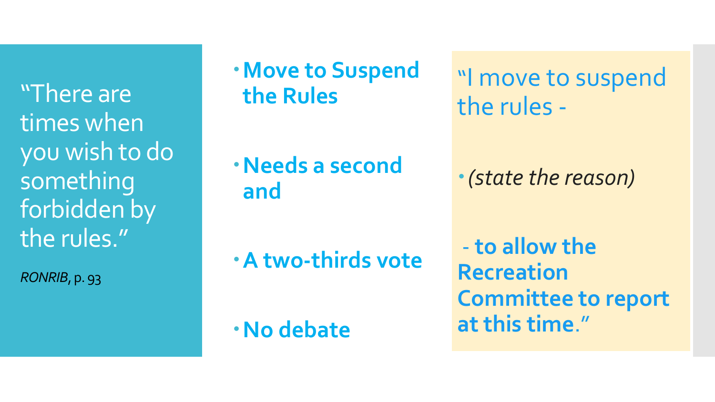"There are times when you wish to do something forbidden by the rules."

*RONRIB*, p. 93

**Move to Suspend the Rules**

**Needs a second and**

**A two-thirds vote**

**No debate**

"I move to suspend the rules -

*(state the reason)*

- **to allow the Recreation Committee to report at this time**."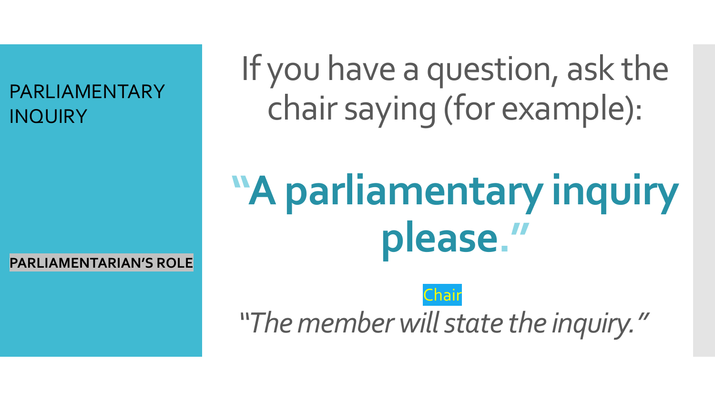PARLIAMENTARY INQUIRY

If you have a question, ask the chair saying (for example):

# **"A parliamentary inquiry please."**

Chair *"The member will state the inquiry."*

**PARLIAMENTARIAN'S ROLE**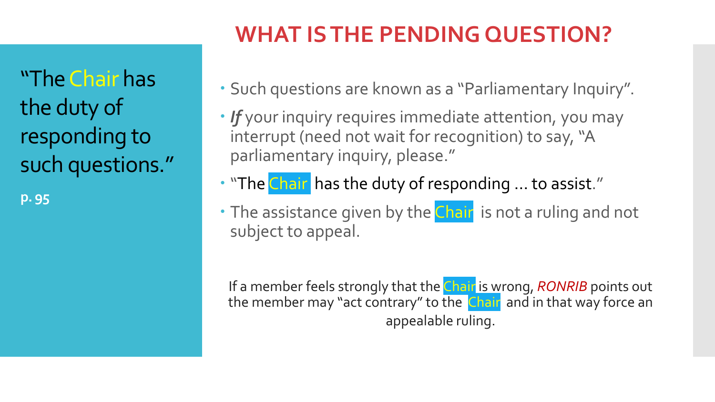**WHAT IS THE PENDING QUESTION?**

"The Chair has the duty of responding to such questions."

**p. 95**

- Such questions are known as a "Parliamentary Inquiry".
- *If* your inquiry requires immediate attention, you may interrupt (need not wait for recognition) to say, "A parliamentary inquiry, please."
- . "The Chair has the duty of responding ... to assist."
- The assistance given by the Chair is not a ruling and not subject to appeal.

If a member feels strongly that the Chair is wrong, *RONRIB* points out the member may "act contrary" to the Chair and in that way force an appealable ruling.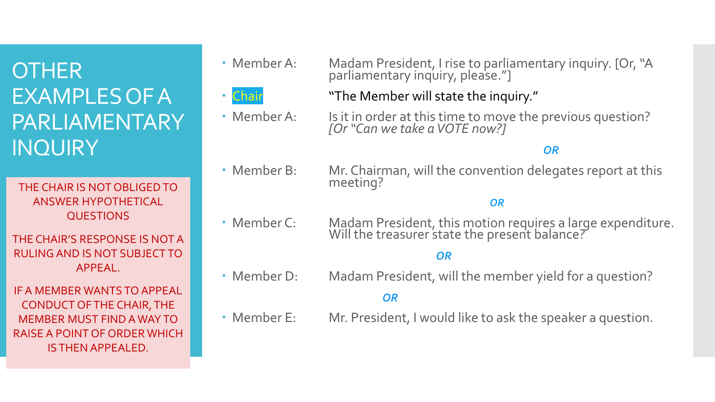## **OTHER** EXAMPLES OF A PARLIAMENTARY **INQUIRY**

THE CHAIR IS NOT OBLIGED TO ANSWER HYPOTHETICAL QUESTIONS

THE CHAIR'S RESPONSE IS NOT A RULING AND IS NOT SUBJECT TO APPEAL.

IF A MEMBER WANTS TO APPEAL CONDUCT OF THE CHAIR, THE MEMBER MUST FIND A WAY TO RAISE A POINT OF ORDER WHICH IS THEN APPEALED.



 Member A: Madam President, I rise to parliamentary inquiry. [Or, "A parliamentary inquiry, please."]



- 
- Chair **The Member will state the inquiry.**" Member A: Is it in order at this time to move the previous question?

### *OR*

• Member B: Mr. Chairman, will the convention delegates report at this meeting?

*[Or "Can we take a VOTE now?]*

### *OR*

 Member C: Madam President, this motion requires a large expenditure. Will the treasurer state the present balance?

### *OR*

Member D: Madam President, will the member yield for a question?

### *OR*

Member E: Mr. President, I would like to ask the speaker a question.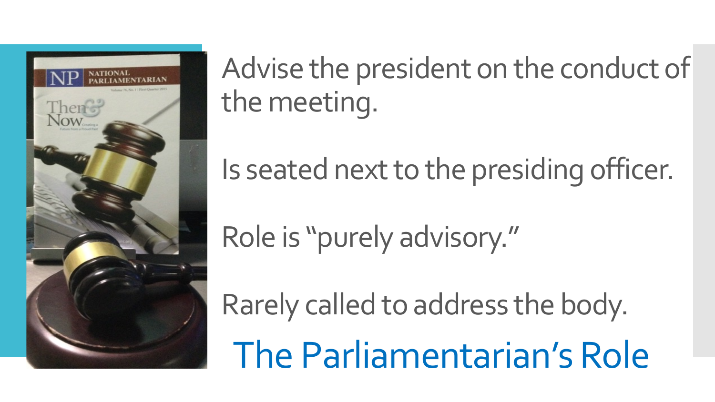

Advise the president on the conduct of the meeting.

Is seated next to the presiding officer.

Role is "purely advisory."

Rarely called to address the body. The Parliamentarian's Role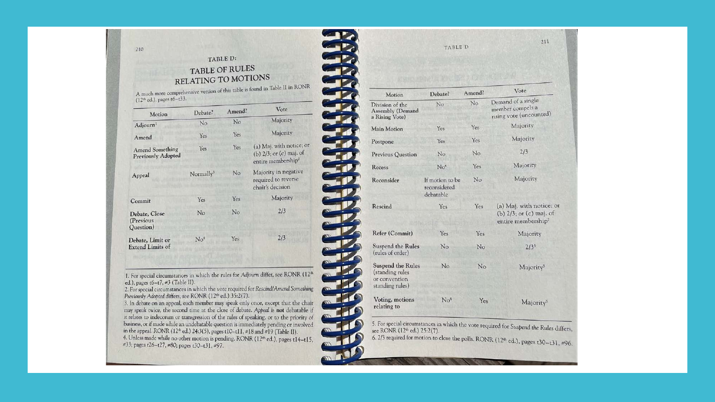### TABLE D: **TABLE OF RULES** RELATING TO MOTIONS

FRANCIS PROPERTY

A much more comprehensive version of this table is found in Table II in RONR  $(12<sup>th</sup>$  ed.), pages t6-t33.

210

| Motion                                              | Debate?               | Amend? | Vote                                                                                  |
|-----------------------------------------------------|-----------------------|--------|---------------------------------------------------------------------------------------|
| Adjourn <sup>1</sup>                                | No                    | No     | Majority                                                                              |
| Amend                                               | Yes                   | Yes    | Majority                                                                              |
| <b>Amend Something</b><br><b>Previously Adopted</b> | Yes                   | Yes    | (a) Maj. with notice; or<br>(b) 2/3; or (c) maj. of<br>entire membership <sup>2</sup> |
| Appeal                                              | Normally <sup>3</sup> | No     | Majority in negative<br>required to reverse<br>chair's decision                       |
| Commit                                              | Yes                   | Yes    | Majority                                                                              |
| Debate, Close<br>(Previous<br>Question)             | No                    | No     | 2/3                                                                                   |
| Debate, Limit or<br><b>Extend Limits of</b>         | No <sup>4</sup>       | Yes    | 2/3                                                                                   |

1. For special circumstances in which the rules for Adjourn differ, see RONR (12<sup>th</sup> ed.), pages  $t6-t7$ ,  $\neq 3$  (Table II).

2. For special circumstances in which the vote required for Rescind/Amend Something Previously Adopted differs, see RONR (12th ed.) 35:2(7).

3. In debate on an appeal, each member may speak only once, except that the chair may speak twice, the second time at the close of debate. Appeal is not debatable if it relates to indecorum or transgression of the rules of speaking, or to the priority of business, or if made while an undebatable question is immediately pending or involved in the appeal. RONR (12th ed.) 24:3(5), pages t10-t11, #18 and #19 (Table II). 4. Unless made while no other motion is pending. RONR (12<sup>th</sup> ed.), pages t14-t15, #33; pages t26-t27, #80; pages t30-t31, #97.

| Motion                                                                          | Debate?                                      | Amend? | Vote                                                                                  |
|---------------------------------------------------------------------------------|----------------------------------------------|--------|---------------------------------------------------------------------------------------|
| Division of the<br><b>Assembly (Demand</b><br>a Rising Vote)                    | No                                           | No     | Demand of a single<br>member compels a<br>rising vote (uncounted)                     |
| <b>Main Motion</b>                                                              | Yes                                          | Yes    | Majority                                                                              |
| Postpone                                                                        | Yes                                          | Yes    | Majority                                                                              |
| <b>Previous Question</b>                                                        | No                                           | No     | 2/3                                                                                   |
| Recess                                                                          | No <sup>4</sup>                              | Yes    | Majority                                                                              |
| Reconsider                                                                      | If motion to be<br>reconsidered<br>debatable | No     | Majority                                                                              |
| Rescind                                                                         | Yes                                          | Yes    | (a) Maj. with notice;<br>(b) $2/3$ ; or (c) maj. of<br>entire membership <sup>2</sup> |
| Refer (Commit)                                                                  | Yes.                                         | Yes    | Majority                                                                              |
| <b>Suspend the Rules</b><br>(rules of order)                                    | No                                           | No     | $2/3^{5}$                                                                             |
| <b>Suspend the Rules</b><br>(standing rules<br>or convention<br>standing rules) | No                                           | No     | Majority <sup>5</sup>                                                                 |
| Voting, motions<br>relating to                                                  | No <sup>4</sup>                              | Yes    | Majority <sup>6</sup>                                                                 |

5. For special circumstances in which the vote required for Suspend the Rules differs, see RONR (12th ed.) 25:2(7). 6.  $2/3$  required for motion to close the polls. RONR (12<sup>th</sup> ed.), pages t30-t31, #96.

 $211$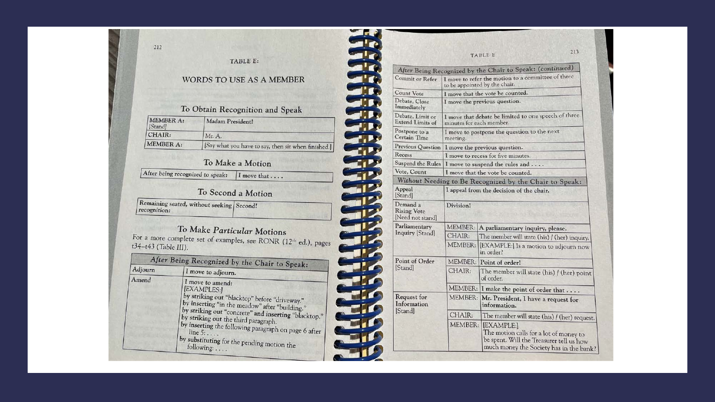#### TABLE E:

### WORDS TO USE AS A MEMBER

#### To Obtain Recognition and Speak

| MEMBER A:<br>[Stand] | Madam President!                                    |
|----------------------|-----------------------------------------------------|
| CHAIR:               | Mr. A.                                              |
| MEMBER A:            | [Say what you have to say, then sit when finished.] |

#### To Make a Motion

After being recognized to speak: | I move that ....

### To Second a Motion

| Remaining seated, without seeking Second!<br>recognition: |  |
|-----------------------------------------------------------|--|
|-----------------------------------------------------------|--|

To Make Particular Motions For a more complete set of examples, see RONR (12th ed.), pages t34-t43 (Table III).

| Adjourn | After Being Recognized by the Chair to Speak:<br>I move to adjourn.                                                                                                                                                                                                                                                                                                          |  |  |
|---------|------------------------------------------------------------------------------------------------------------------------------------------------------------------------------------------------------------------------------------------------------------------------------------------------------------------------------------------------------------------------------|--|--|
| Amend   | I move to amend:<br>[EXAMPLES:]<br>by striking out "blacktop" before "driveway."<br>by inserting "in the meadow" after "building."<br>by striking out "concrete" and inserting "blacktop."<br>by striking out the third paragraph.<br>by inserting the following paragraph on page 6 after<br>$line 5: \ldots$ .<br>by substituting for the pending motion the<br>following: |  |  |

|                                                   |                          | 213<br><b>TABLE E</b>                                                                                                                       |
|---------------------------------------------------|--------------------------|---------------------------------------------------------------------------------------------------------------------------------------------|
|                                                   |                          | After Being Recognized by the Chair to Speak: (continued)                                                                                   |
| <b>Commit or Refer</b>                            |                          | I move to refer the motion to a committee of three<br>to be appointed by the chair.                                                         |
| <b>Count Vote</b>                                 |                          | I move that the vote be counted.                                                                                                            |
| Debate, Close<br>Immediately                      |                          | I move the previous question.                                                                                                               |
| Debate, Limit or<br><b>Extend Limits of</b>       | minutes for each member. | I move that debate be limited to one speech of three                                                                                        |
| Postpone to a<br><b>Certain Time</b>              | meeting.                 | I move to postpone the question to the next                                                                                                 |
| <b>Previous Question</b>                          |                          | I move the previous question.                                                                                                               |
| Recess                                            |                          | I move to recess for five minutes.                                                                                                          |
|                                                   |                          | Suspend the Rules   I move to suspend the rules and                                                                                         |
| Vote, Count                                       |                          | I move that the vote be counted.                                                                                                            |
|                                                   |                          | Without Needing to Be Recognized by the Chair to Speak:                                                                                     |
| Appeal<br>Stand                                   |                          | I appeal from the decision of the chair.                                                                                                    |
| Demand a<br><b>Rising Vote</b><br>Need not standl | Division!                |                                                                                                                                             |
| Parliamentary                                     |                          | MEMBER: A parliamentary inquiry, please.                                                                                                    |
| Inquiry [Stand]                                   | CHAIR:                   | The member will state (his) / (her) inquiry.                                                                                                |
|                                                   | MEMBER:                  | [EXAMPLE:] Is a motion to adjourn now<br>in order?                                                                                          |
| Point of Order                                    |                          | MEMBER: Point of order!                                                                                                                     |
| [Stand]                                           | CHAIR:                   | The member will state (his) / (her) point<br>of order.                                                                                      |
|                                                   |                          | MEMBER: I make the point of order that                                                                                                      |
| Request for<br>Information                        |                          | MEMBER: Mr. President, I have a request for<br>information.                                                                                 |
| [Stand]                                           | CHAIR:                   | The member will state (his) / (her) request.                                                                                                |
|                                                   | MEMBER:                  | [EXAMPLE:]<br>The motion calls for a lot of money to<br>be spent. Will the Treasurer tell us how<br>much money the Society has in the bank? |